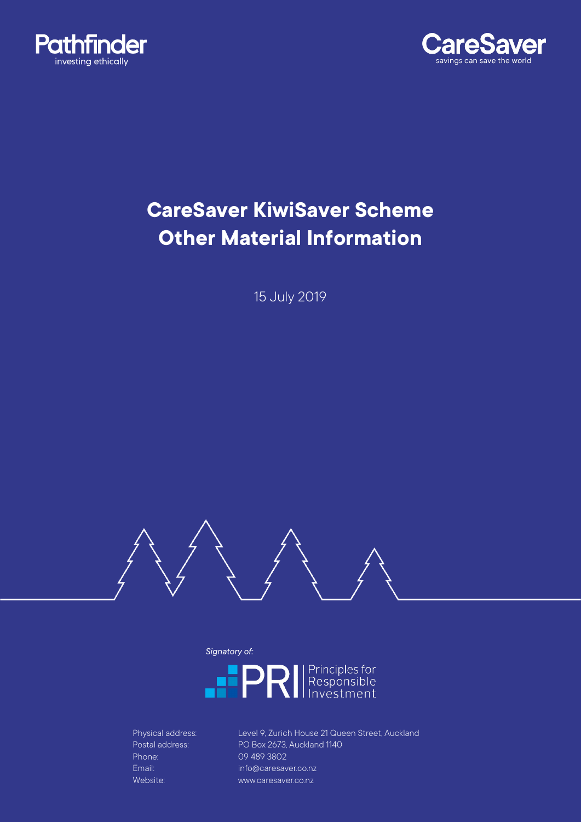



# **CareSaver KiwiSaver Scheme Other Material Information**

15 July 2019



*Signatory of:*



Phone: 09 489 3802

Physical address: Level 9, Zurich House 21 Queen Street, Auckland Postal address: PO Box 2673, Auckland 1140 Email: info@caresaver.co.nz Website: www.caresaver.co.nz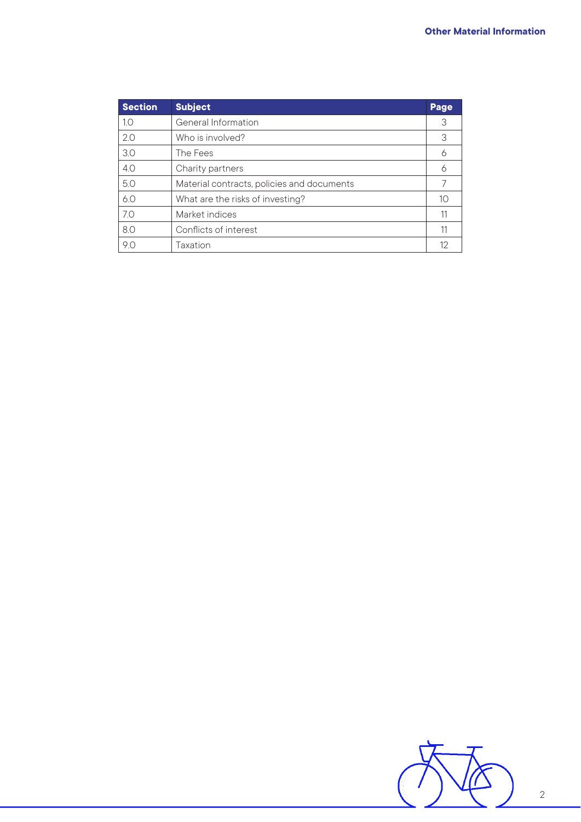| <b>Section</b> | <b>Subject</b>                             | Page |
|----------------|--------------------------------------------|------|
| 1.0            | General Information                        | 3    |
| 2.0            | Who is involved?                           | 3    |
| 3.0            | The Fees                                   | 6    |
| 4.0            | Charity partners                           | 6    |
| 5.0            | Material contracts, policies and documents |      |
| 6.0            | What are the risks of investing?           | 10   |
| 7.0            | Market indices                             | 11   |
| 8.0            | Conflicts of interest                      | 11   |
| 9.0            | Taxation                                   |      |

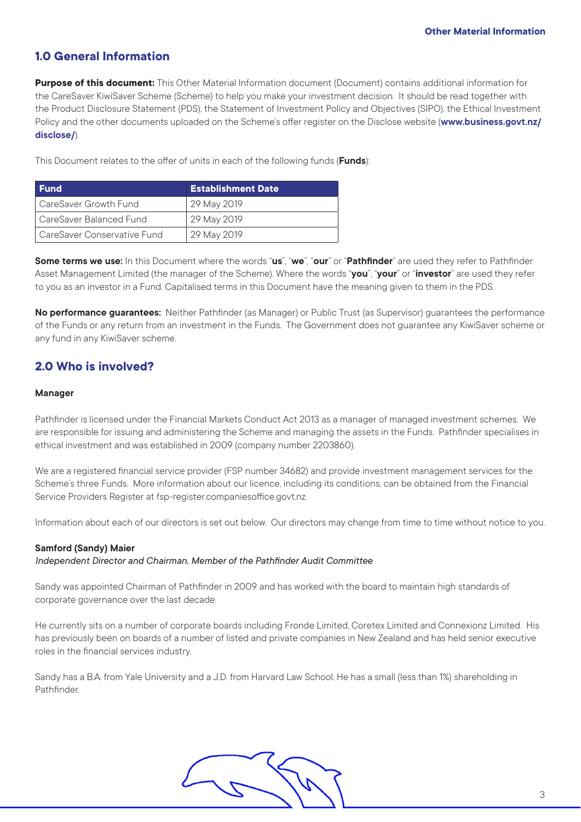## **1.0 General Information**

**Purpose of this document:** This Other Material Information document (Document) contains additional information for the CareSaver KiwiSaver Scheme (Scheme) to help you make your investment decision. It should be read together with the Product Disclosure Statement (PDS), the Statement of Investment Policy and Objectives (SIPO), the Ethical Investment Policy and the other documents uploaded on the Scheme's offer register on the Disclose website (**www.business.govt.nz/ disclose/**).

This Document relates to the offer of units in each of the following funds (**Funds**):

| <b>Fund</b>                   | <b>Establishment Date</b> |
|-------------------------------|---------------------------|
| l CareSaver Growth Fund       | 29 May 2019               |
| l CareSaver Balanced Fund     | 29 May 2019               |
| l CareSaver Conservative Fund | 29 May 2019               |

**Some terms we use:** In this Document where the words "**us**", "**we**", "**our**" or "**Pathfinder**" are used they refer to Pathfinder Asset Management Limited (the manager of the Scheme). Where the words "**you**", "**your**" or "**investor**" are used they refer to you as an investor in a Fund. Capitalised terms in this Document have the meaning given to them in the PDS.

**No performance guarantees:** Neither Pathfinder (as Manager) or Public Trust (as Supervisor) guarantees the performance of the Funds or any return from an investment in the Funds. The Government does not guarantee any KiwiSaver scheme or any fund in any KiwiSaver scheme.

## **2.0 Who is involved?**

#### **Manager**

Pathfinder is licensed under the Financial Markets Conduct Act 2013 as a manager of managed investment schemes. We are responsible for issuing and administering the Scheme and managing the assets in the Funds. Pathfinder specialises in ethical investment and was established in 2009 (company number 2203860).

We are a registered financial service provider (FSP number 34682) and provide investment management services for the Scheme's three Funds. More information about our licence, including its conditions, can be obtained from the Financial Service Providers Register at fsp-register.companiesoffice.govt.nz.

Information about each of our directors is set out below. Our directors may change from time to time without notice to you.

#### **Samford (Sandy) Maier**

*Independent Director and Chairman, Member of the Pathfinder Audit Committee*

Sandy was appointed Chairman of Pathfinder in 2009 and has worked with the board to maintain high standards of corporate governance over the last decade.

He currently sits on a number of corporate boards including Fronde Limited, Coretex Limited and Connexionz Limited. His has previously been on boards of a number of listed and private companies in New Zealand and has held senior executive roles in the financial services industry.

Sandy has a B.A. from Yale University and a J.D. from Harvard Law School. He has a small (less than 1%) shareholding in Pathfinder.

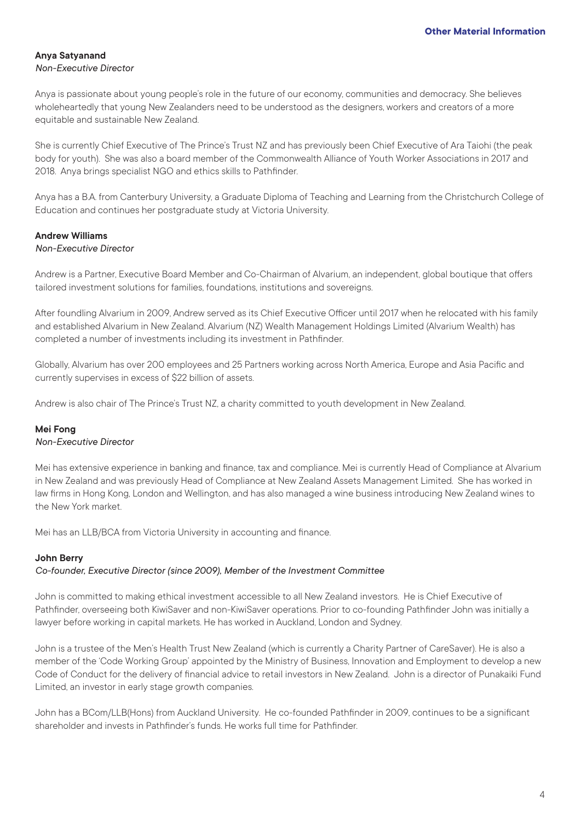#### **Anya Satyanand** *Non-Executive Director*

Anya is passionate about young people's role in the future of our economy, communities and democracy. She believes wholeheartedly that young New Zealanders need to be understood as the designers, workers and creators of a more equitable and sustainable New Zealand.

She is currently Chief Executive of The Prince's Trust NZ and has previously been Chief Executive of Ara Taiohi (the peak body for youth). She was also a board member of the Commonwealth Alliance of Youth Worker Associations in 2017 and 2018. Anya brings specialist NGO and ethics skills to Pathfinder.

Anya has a B.A. from Canterbury University, a Graduate Diploma of Teaching and Learning from the Christchurch College of Education and continues her postgraduate study at Victoria University.

# **Andrew Williams**

#### *Non-Executive Director*

Andrew is a Partner, Executive Board Member and Co-Chairman of Alvarium, an independent, global boutique that offers tailored investment solutions for families, foundations, institutions and sovereigns.

After foundling Alvarium in 2009, Andrew served as its Chief Executive Officer until 2017 when he relocated with his family and established Alvarium in New Zealand. Alvarium (NZ) Wealth Management Holdings Limited (Alvarium Wealth) has completed a number of investments including its investment in Pathfinder.

Globally, Alvarium has over 200 employees and 25 Partners working across North America, Europe and Asia Pacific and currently supervises in excess of \$22 billion of assets.

Andrew is also chair of The Prince's Trust NZ, a charity committed to youth development in New Zealand.

## **Mei Fong**

#### *Non-Executive Director*

Mei has extensive experience in banking and finance, tax and compliance. Mei is currently Head of Compliance at Alvarium in New Zealand and was previously Head of Compliance at New Zealand Assets Management Limited. She has worked in law firms in Hong Kong, London and Wellington, and has also managed a wine business introducing New Zealand wines to the New York market.

Mei has an LLB/BCA from Victoria University in accounting and finance.

#### **John Berry**

#### *Co-founder, Executive Director (since 2009), Member of the Investment Committee*

John is committed to making ethical investment accessible to all New Zealand investors. He is Chief Executive of Pathfinder, overseeing both KiwiSaver and non-KiwiSaver operations. Prior to co-founding Pathfinder John was initially a lawyer before working in capital markets. He has worked in Auckland, London and Sydney.

John is a trustee of the Men's Health Trust New Zealand (which is currently a Charity Partner of CareSaver). He is also a member of the 'Code Working Group' appointed by the Ministry of Business, Innovation and Employment to develop a new Code of Conduct for the delivery of financial advice to retail investors in New Zealand. John is a director of Punakaiki Fund Limited, an investor in early stage growth companies.

John has a BCom/LLB(Hons) from Auckland University. He co-founded Pathfinder in 2009, continues to be a significant shareholder and invests in Pathfinder's funds. He works full time for Pathfinder.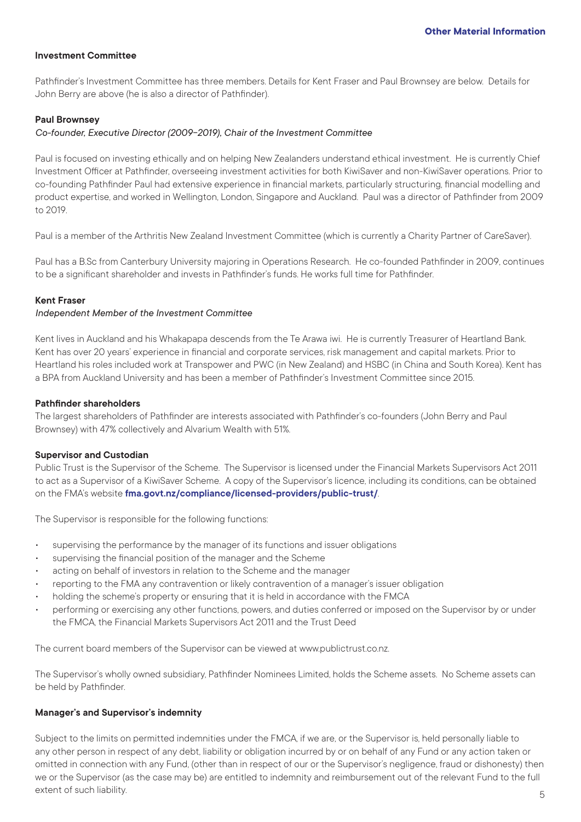#### **Investment Committee**

Pathfinder's Investment Committee has three members. Details for Kent Fraser and Paul Brownsey are below. Details for John Berry are above (he is also a director of Pathfinder).

#### **Paul Brownsey**

#### *Co-founder, Executive Director (2009-2019), Chair of the Investment Committee*

Paul is focused on investing ethically and on helping New Zealanders understand ethical investment. He is currently Chief Investment Officer at Pathfinder, overseeing investment activities for both KiwiSaver and non-KiwiSaver operations. Prior to co-founding Pathfinder Paul had extensive experience in financial markets, particularly structuring, financial modelling and product expertise, and worked in Wellington, London, Singapore and Auckland. Paul was a director of Pathfinder from 2009 to 2019.

Paul is a member of the Arthritis New Zealand Investment Committee (which is currently a Charity Partner of CareSaver).

Paul has a B.Sc from Canterbury University majoring in Operations Research. He co-founded Pathfinder in 2009, continues to be a significant shareholder and invests in Pathfinder's funds. He works full time for Pathfinder.

#### **Kent Fraser**

#### *Independent Member of the Investment Committee*

Kent lives in Auckland and his Whakapapa descends from the Te Arawa iwi. He is currently Treasurer of Heartland Bank. Kent has over 20 years' experience in financial and corporate services, risk management and capital markets. Prior to Heartland his roles included work at Transpower and PWC (in New Zealand) and HSBC (in China and South Korea). Kent has a BPA from Auckland University and has been a member of Pathfinder's Investment Committee since 2015.

#### **Pathfinder shareholders**

The largest shareholders of Pathfinder are interests associated with Pathfinder's co-founders (John Berry and Paul Brownsey) with 47% collectively and Alvarium Wealth with 51%.

#### **Supervisor and Custodian**

Public Trust is the Supervisor of the Scheme. The Supervisor is licensed under the Financial Markets Supervisors Act 2011 to act as a Supervisor of a KiwiSaver Scheme. A copy of the Supervisor's licence, including its conditions, can be obtained on the FMA's website **fma.govt.nz/compliance/licensed-providers/public-trust/**.

The Supervisor is responsible for the following functions:

- supervising the performance by the manager of its functions and issuer obligations
- supervising the financial position of the manager and the Scheme
- acting on behalf of investors in relation to the Scheme and the manager
- reporting to the FMA any contravention or likely contravention of a manager's issuer obligation
- holding the scheme's property or ensuring that it is held in accordance with the FMCA
- performing or exercising any other functions, powers, and duties conferred or imposed on the Supervisor by or under the FMCA, the Financial Markets Supervisors Act 2011 and the Trust Deed

The current board members of the Supervisor can be viewed at www.publictrust.co.nz.

The Supervisor's wholly owned subsidiary, Pathfinder Nominees Limited, holds the Scheme assets. No Scheme assets can be held by Pathfinder.

#### **Manager's and Supervisor's indemnity**

5 Subject to the limits on permitted indemnities under the FMCA, if we are, or the Supervisor is, held personally liable to any other person in respect of any debt, liability or obligation incurred by or on behalf of any Fund or any action taken or omitted in connection with any Fund, (other than in respect of our or the Supervisor's negligence, fraud or dishonesty) then we or the Supervisor (as the case may be) are entitled to indemnity and reimbursement out of the relevant Fund to the full extent of such liability.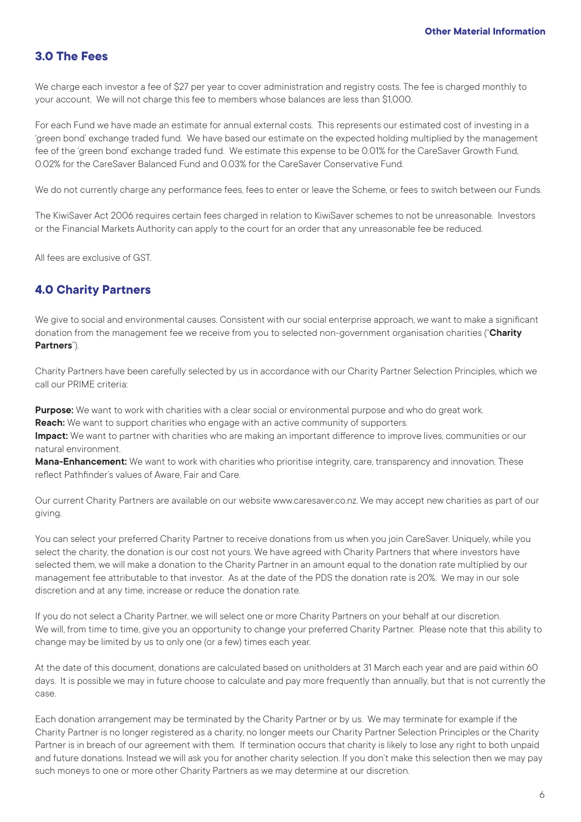## **3.0 The Fees**

We charge each investor a fee of \$27 per year to cover administration and registry costs. The fee is charged monthly to your account. We will not charge this fee to members whose balances are less than \$1,000.

For each Fund we have made an estimate for annual external costs. This represents our estimated cost of investing in a 'green bond' exchange traded fund. We have based our estimate on the expected holding multiplied by the management fee of the 'green bond' exchange traded fund. We estimate this expense to be 0.01% for the CareSaver Growth Fund, 0.02% for the CareSaver Balanced Fund and 0.03% for the CareSaver Conservative Fund.

We do not currently charge any performance fees, fees to enter or leave the Scheme, or fees to switch between our Funds.

The KiwiSaver Act 2006 requires certain fees charged in relation to KiwiSaver schemes to not be unreasonable. Investors or the Financial Markets Authority can apply to the court for an order that any unreasonable fee be reduced.

All fees are exclusive of GST.

## **4.0 Charity Partners**

We give to social and environmental causes. Consistent with our social enterprise approach, we want to make a significant donation from the management fee we receive from you to selected non-government organisation charities ("**Charity Partners**").

Charity Partners have been carefully selected by us in accordance with our Charity Partner Selection Principles, which we call our PRIME criteria:

**Purpose:** We want to work with charities with a clear social or environmental purpose and who do great work. **Reach:** We want to support charities who engage with an active community of supporters.

**Impact:** We want to partner with charities who are making an important difference to improve lives, communities or our natural environment.

**Mana-Enhancement:** We want to work with charities who prioritise integrity, care, transparency and innovation. These reflect Pathfinder's values of Aware, Fair and Care.

Our current Charity Partners are available on our website www.caresaver.co.nz. We may accept new charities as part of our giving.

You can select your preferred Charity Partner to receive donations from us when you join CareSaver. Uniquely, while you select the charity, the donation is our cost not yours. We have agreed with Charity Partners that where investors have selected them, we will make a donation to the Charity Partner in an amount equal to the donation rate multiplied by our management fee attributable to that investor. As at the date of the PDS the donation rate is 20%. We may in our sole discretion and at any time, increase or reduce the donation rate.

If you do not select a Charity Partner, we will select one or more Charity Partners on your behalf at our discretion. We will, from time to time, give you an opportunity to change your preferred Charity Partner. Please note that this ability to change may be limited by us to only one (or a few) times each year.

At the date of this document, donations are calculated based on unitholders at 31 March each year and are paid within 60 days. It is possible we may in future choose to calculate and pay more frequently than annually, but that is not currently the case.

Each donation arrangement may be terminated by the Charity Partner or by us. We may terminate for example if the Charity Partner is no longer registered as a charity, no longer meets our Charity Partner Selection Principles or the Charity Partner is in breach of our agreement with them. If termination occurs that charity is likely to lose any right to both unpaid and future donations. Instead we will ask you for another charity selection. If you don't make this selection then we may pay such moneys to one or more other Charity Partners as we may determine at our discretion.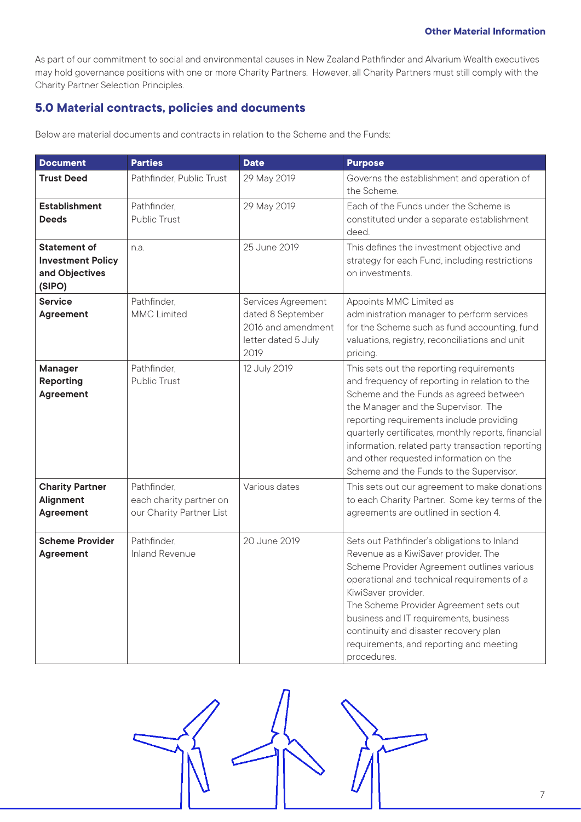As part of our commitment to social and environmental causes in New Zealand Pathfinder and Alvarium Wealth executives may hold governance positions with one or more Charity Partners. However, all Charity Partners must still comply with the Charity Partner Selection Principles.

# **5.0 Material contracts, policies and documents**

Below are material documents and contracts in relation to the Scheme and the Funds:

| <b>Document</b>                                                             | <b>Parties</b>                                                     | <b>Date</b>                                                                                  | <b>Purpose</b>                                                                                                                                                                                                                                                                                                                                                                                                        |
|-----------------------------------------------------------------------------|--------------------------------------------------------------------|----------------------------------------------------------------------------------------------|-----------------------------------------------------------------------------------------------------------------------------------------------------------------------------------------------------------------------------------------------------------------------------------------------------------------------------------------------------------------------------------------------------------------------|
| <b>Trust Deed</b>                                                           | Pathfinder, Public Trust                                           | 29 May 2019                                                                                  | Governs the establishment and operation of<br>the Scheme.                                                                                                                                                                                                                                                                                                                                                             |
| <b>Establishment</b><br><b>Deeds</b>                                        | Pathfinder,<br><b>Public Trust</b>                                 | 29 May 2019                                                                                  | Each of the Funds under the Scheme is<br>constituted under a separate establishment<br>deed.                                                                                                                                                                                                                                                                                                                          |
| <b>Statement of</b><br><b>Investment Policy</b><br>and Objectives<br>(SIPO) | n.a.                                                               | 25 June 2019                                                                                 | This defines the investment objective and<br>strategy for each Fund, including restrictions<br>on investments.                                                                                                                                                                                                                                                                                                        |
| <b>Service</b><br>Agreement                                                 | Pathfinder,<br><b>MMC Limited</b>                                  | Services Agreement<br>dated 8 September<br>2016 and amendment<br>letter dated 5 July<br>2019 | Appoints MMC Limited as<br>administration manager to perform services<br>for the Scheme such as fund accounting, fund<br>valuations, registry, reconciliations and unit<br>pricing.                                                                                                                                                                                                                                   |
| Manager<br><b>Reporting</b><br>Agreement                                    | Pathfinder,<br><b>Public Trust</b>                                 | 12 July 2019                                                                                 | This sets out the reporting requirements<br>and frequency of reporting in relation to the<br>Scheme and the Funds as agreed between<br>the Manager and the Supervisor. The<br>reporting requirements include providing<br>quarterly certificates, monthly reports, financial<br>information, related party transaction reporting<br>and other requested information on the<br>Scheme and the Funds to the Supervisor. |
| <b>Charity Partner</b><br>Alignment<br><b>Agreement</b>                     | Pathfinder,<br>each charity partner on<br>our Charity Partner List | Various dates                                                                                | This sets out our agreement to make donations<br>to each Charity Partner. Some key terms of the<br>agreements are outlined in section 4.                                                                                                                                                                                                                                                                              |
| <b>Scheme Provider</b><br>Agreement                                         | Pathfinder,<br><b>Inland Revenue</b>                               | 20 June 2019                                                                                 | Sets out Pathfinder's obligations to Inland<br>Revenue as a KiwiSaver provider. The<br>Scheme Provider Agreement outlines various<br>operational and technical requirements of a<br>KiwiSaver provider.<br>The Scheme Provider Agreement sets out<br>business and IT requirements, business<br>continuity and disaster recovery plan<br>requirements, and reporting and meeting<br>procedures.                        |

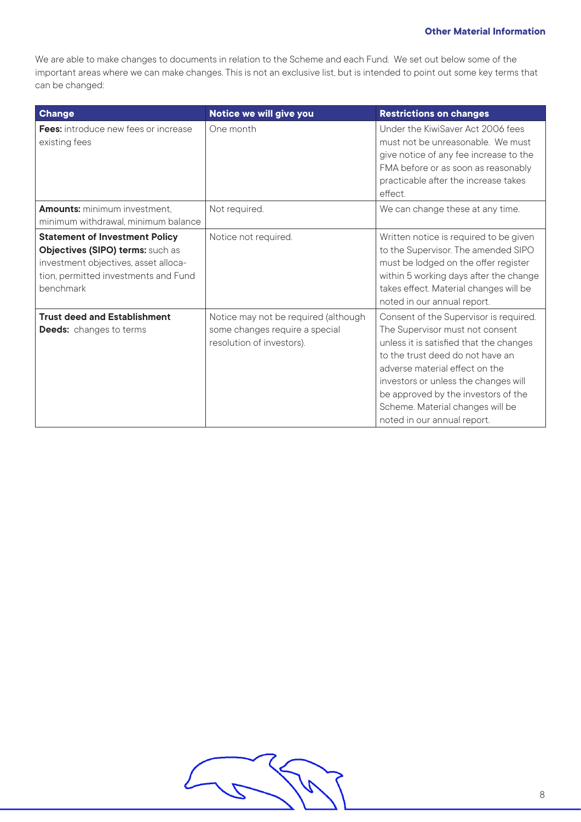#### **Other Material Information**

We are able to make changes to documents in relation to the Scheme and each Fund. We set out below some of the important areas where we can make changes. This is not an exclusive list, but is intended to point out some key terms that can be changed:

| <b>Change</b>                                                                                                                                                          | Notice we will give you                                                                             | <b>Restrictions on changes</b>                                                                                                                                                                                                                                                                                                               |
|------------------------------------------------------------------------------------------------------------------------------------------------------------------------|-----------------------------------------------------------------------------------------------------|----------------------------------------------------------------------------------------------------------------------------------------------------------------------------------------------------------------------------------------------------------------------------------------------------------------------------------------------|
| <b>Fees:</b> introduce new fees or increase<br>existing fees                                                                                                           | One month                                                                                           | Under the KiwiSaver Act 2006 fees<br>must not be unreasonable. We must<br>give notice of any fee increase to the<br>FMA before or as soon as reasonably<br>practicable after the increase takes<br>effect.                                                                                                                                   |
| <b>Amounts:</b> minimum investment,<br>minimum withdrawal, minimum balance                                                                                             | Not required.                                                                                       | We can change these at any time.                                                                                                                                                                                                                                                                                                             |
| <b>Statement of Investment Policy</b><br>Objectives (SIPO) terms: such as<br>investment objectives, asset alloca-<br>tion, permitted investments and Fund<br>benchmark | Notice not required.                                                                                | Written notice is required to be given<br>to the Supervisor. The amended SIPO<br>must be lodged on the offer register<br>within 5 working days after the change<br>takes effect. Material changes will be<br>noted in our annual report.                                                                                                     |
| <b>Trust deed and Establishment</b><br><b>Deeds:</b> changes to terms                                                                                                  | Notice may not be required (although<br>some changes require a special<br>resolution of investors). | Consent of the Supervisor is required.<br>The Supervisor must not consent<br>unless it is satisfied that the changes<br>to the trust deed do not have an<br>adverse material effect on the<br>investors or unless the changes will<br>be approved by the investors of the<br>Scheme. Material changes will be<br>noted in our annual report. |

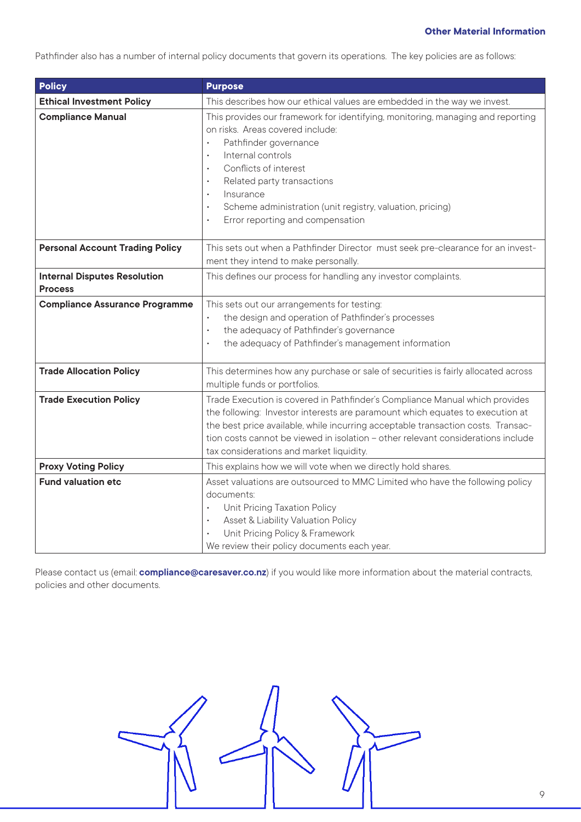Pathfinder also has a number of internal policy documents that govern its operations. The key policies are as follows:

| <b>Policy</b>                                         | <b>Purpose</b>                                                                                                                                                                                                                                                                                                                                                                                                                               |
|-------------------------------------------------------|----------------------------------------------------------------------------------------------------------------------------------------------------------------------------------------------------------------------------------------------------------------------------------------------------------------------------------------------------------------------------------------------------------------------------------------------|
| <b>Ethical Investment Policy</b>                      | This describes how our ethical values are embedded in the way we invest.                                                                                                                                                                                                                                                                                                                                                                     |
| <b>Compliance Manual</b>                              | This provides our framework for identifying, monitoring, managing and reporting<br>on risks. Areas covered include:<br>Pathfinder governance<br>$\bullet$<br>Internal controls<br>$\ddot{\phantom{0}}$<br>Conflicts of interest<br>$\bullet$<br>Related party transactions<br>$\bullet$<br>Insurance<br>$\bullet$<br>Scheme administration (unit registry, valuation, pricing)<br>$\bullet$<br>Error reporting and compensation<br>$\bullet$ |
| <b>Personal Account Trading Policy</b>                | This sets out when a Pathfinder Director must seek pre-clearance for an invest-<br>ment they intend to make personally.                                                                                                                                                                                                                                                                                                                      |
| <b>Internal Disputes Resolution</b><br><b>Process</b> | This defines our process for handling any investor complaints.                                                                                                                                                                                                                                                                                                                                                                               |
| <b>Compliance Assurance Programme</b>                 | This sets out our arrangements for testing:<br>the design and operation of Pathfinder's processes<br>the adequacy of Pathfinder's governance<br>$\bullet$<br>the adequacy of Pathfinder's management information<br>$\bullet$                                                                                                                                                                                                                |
| <b>Trade Allocation Policy</b>                        | This determines how any purchase or sale of securities is fairly allocated across<br>multiple funds or portfolios.                                                                                                                                                                                                                                                                                                                           |
| <b>Trade Execution Policy</b>                         | Trade Execution is covered in Pathfinder's Compliance Manual which provides<br>the following: Investor interests are paramount which equates to execution at<br>the best price available, while incurring acceptable transaction costs. Transac-<br>tion costs cannot be viewed in isolation - other relevant considerations include<br>tax considerations and market liquidity.                                                             |
| <b>Proxy Voting Policy</b>                            | This explains how we will vote when we directly hold shares.                                                                                                                                                                                                                                                                                                                                                                                 |
| <b>Fund valuation etc</b>                             | Asset valuations are outsourced to MMC Limited who have the following policy<br>documents:<br>Unit Pricing Taxation Policy<br>Asset & Liability Valuation Policy<br>$\bullet$<br>Unit Pricing Policy & Framework<br>We review their policy documents each year.                                                                                                                                                                              |

Please contact us (email: **compliance@caresaver.co.nz**) if you would like more information about the material contracts, policies and other documents.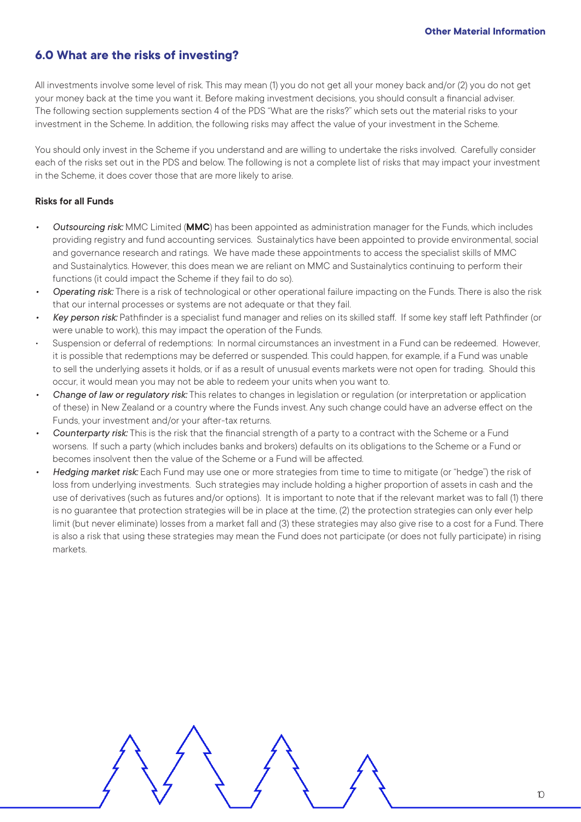## **6.0 What are the risks of investing?**

All investments involve some level of risk. This may mean (1) you do not get all your money back and/or (2) you do not get your money back at the time you want it. Before making investment decisions, you should consult a financial adviser. The following section supplements section 4 of the PDS "What are the risks?" which sets out the material risks to your investment in the Scheme. In addition, the following risks may affect the value of your investment in the Scheme.

You should only invest in the Scheme if you understand and are willing to undertake the risks involved. Carefully consider each of the risks set out in the PDS and below. The following is not a complete list of risks that may impact your investment in the Scheme, it does cover those that are more likely to arise.

#### **Risks for all Funds**

- *• Outsourcing risk:* MMC Limited (**MMC**) has been appointed as administration manager for the Funds, which includes providing registry and fund accounting services. Sustainalytics have been appointed to provide environmental, social and governance research and ratings. We have made these appointments to access the specialist skills of MMC and Sustainalytics. However, this does mean we are reliant on MMC and Sustainalytics continuing to perform their functions (it could impact the Scheme if they fail to do so).
- *• Operating risk:* There is a risk of technological or other operational failure impacting on the Funds. There is also the risk that our internal processes or systems are not adequate or that they fail.
- *• Key person risk:* Pathfinder is a specialist fund manager and relies on its skilled staff. If some key staff left Pathfinder (or were unable to work), this may impact the operation of the Funds.
- Suspension or deferral of redemptions: In normal circumstances an investment in a Fund can be redeemed. However, it is possible that redemptions may be deferred or suspended. This could happen, for example, if a Fund was unable to sell the underlying assets it holds, or if as a result of unusual events markets were not open for trading. Should this occur, it would mean you may not be able to redeem your units when you want to.
- *• Change of law or regulatory risk:* This relates to changes in legislation or regulation (or interpretation or application of these) in New Zealand or a country where the Funds invest. Any such change could have an adverse effect on the Funds, your investment and/or your after-tax returns.
- *• Counterparty risk:* This is the risk that the financial strength of a party to a contract with the Scheme or a Fund worsens. If such a party (which includes banks and brokers) defaults on its obligations to the Scheme or a Fund or becomes insolvent then the value of the Scheme or a Fund will be affected.
- *• Hedging market risk:* Each Fund may use one or more strategies from time to time to mitigate (or "hedge") the risk of loss from underlying investments. Such strategies may include holding a higher proportion of assets in cash and the use of derivatives (such as futures and/or options). It is important to note that if the relevant market was to fall (1) there is no guarantee that protection strategies will be in place at the time, (2) the protection strategies can only ever help limit (but never eliminate) losses from a market fall and (3) these strategies may also give rise to a cost for a Fund. There is also a risk that using these strategies may mean the Fund does not participate (or does not fully participate) in rising markets.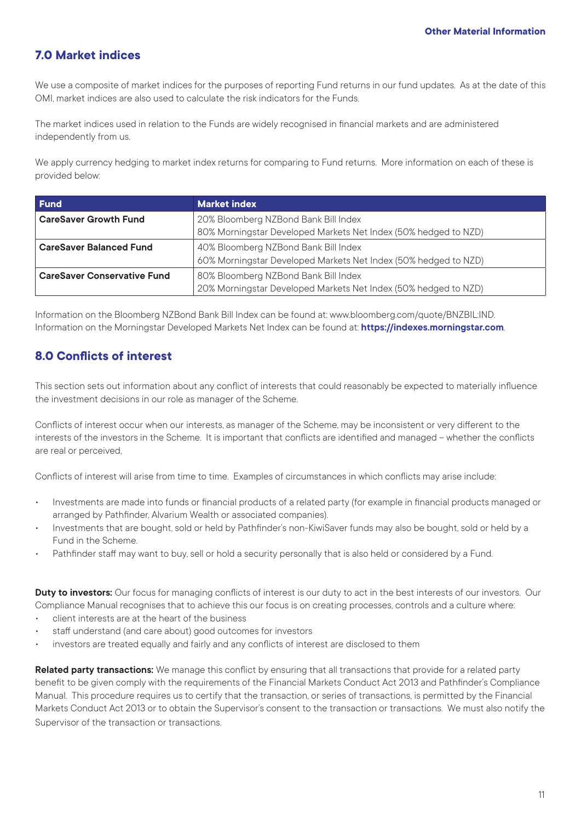# **7.0 Market indices**

We use a composite of market indices for the purposes of reporting Fund returns in our fund updates. As at the date of this OMI, market indices are also used to calculate the risk indicators for the Funds.

The market indices used in relation to the Funds are widely recognised in financial markets and are administered independently from us.

We apply currency hedging to market index returns for comparing to Fund returns. More information on each of these is provided below:

| <b>Fund</b>                        | <b>Market index</b>                                             |  |
|------------------------------------|-----------------------------------------------------------------|--|
| <b>CareSaver Growth Fund</b>       | 20% Bloomberg NZBond Bank Bill Index                            |  |
|                                    | 80% Morningstar Developed Markets Net Index (50% hedged to NZD) |  |
| <b>CareSaver Balanced Fund</b>     | 40% Bloomberg NZBond Bank Bill Index                            |  |
|                                    | 60% Morningstar Developed Markets Net Index (50% hedged to NZD) |  |
| <b>CareSaver Conservative Fund</b> | 80% Bloomberg NZBond Bank Bill Index                            |  |
|                                    | 20% Morningstar Developed Markets Net Index (50% hedged to NZD) |  |

Information on the Bloomberg NZBond Bank Bill Index can be found at: www.bloomberg.com/quote/BNZBIL:IND. Information on the Morningstar Developed Markets Net Index can be found at: **https://indexes.morningstar.com**.

# **8.0 Conflicts of interest**

This section sets out information about any conflict of interests that could reasonably be expected to materially influence the investment decisions in our role as manager of the Scheme.

Conflicts of interest occur when our interests, as manager of the Scheme, may be inconsistent or very different to the interests of the investors in the Scheme. It is important that conflicts are identified and managed – whether the conflicts are real or perceived,

Conflicts of interest will arise from time to time. Examples of circumstances in which conflicts may arise include:

- Investments are made into funds or financial products of a related party (for example in financial products managed or arranged by Pathfinder, Alvarium Wealth or associated companies).
- Investments that are bought, sold or held by Pathfinder's non-KiwiSaver funds may also be bought, sold or held by a Fund in the Scheme.
- Pathfinder staff may want to buy, sell or hold a security personally that is also held or considered by a Fund.

**Duty to investors:** Our focus for managing conflicts of interest is our duty to act in the best interests of our investors. Our Compliance Manual recognises that to achieve this our focus is on creating processes, controls and a culture where:

- client interests are at the heart of the business
- staff understand (and care about) good outcomes for investors
- investors are treated equally and fairly and any conflicts of interest are disclosed to them

**Related party transactions:** We manage this conflict by ensuring that all transactions that provide for a related party benefit to be given comply with the requirements of the Financial Markets Conduct Act 2013 and Pathfinder's Compliance Manual. This procedure requires us to certify that the transaction, or series of transactions, is permitted by the Financial Markets Conduct Act 2013 or to obtain the Supervisor's consent to the transaction or transactions. We must also notify the Supervisor of the transaction or transactions.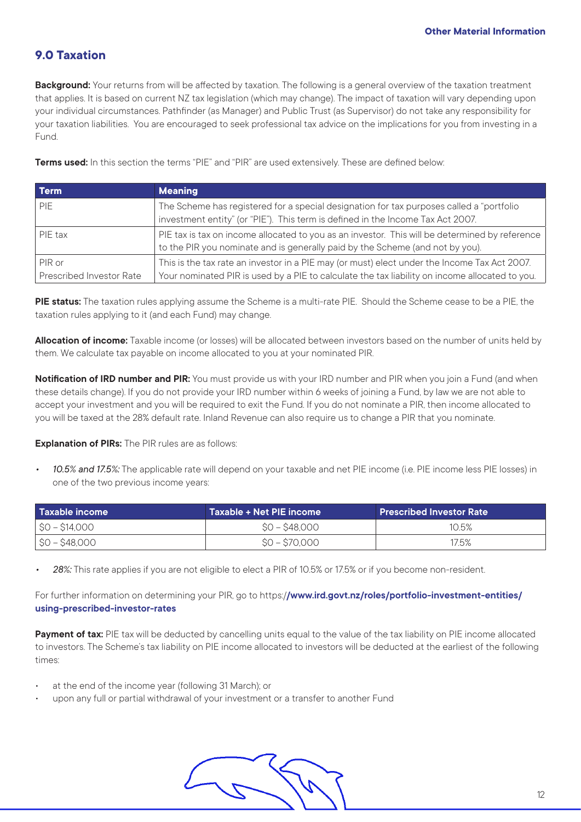# **9.0 Taxation**

**Background:** Your returns from will be affected by taxation. The following is a general overview of the taxation treatment that applies. It is based on current NZ tax legislation (which may change). The impact of taxation will vary depending upon your individual circumstances. Pathfinder (as Manager) and Public Trust (as Supervisor) do not take any responsibility for your taxation liabilities. You are encouraged to seek professional tax advice on the implications for you from investing in a Fund.

| <b>Terms used:</b> In this section the terms "PIE" and "PIR" are used extensively. These are defined below: |  |  |  |
|-------------------------------------------------------------------------------------------------------------|--|--|--|
|-------------------------------------------------------------------------------------------------------------|--|--|--|

| <b>Term</b>              | <b>Meaning</b>                                                                                                                                                                  |
|--------------------------|---------------------------------------------------------------------------------------------------------------------------------------------------------------------------------|
| PIF.                     | The Scheme has registered for a special designation for tax purposes called a "portfolio"<br>investment entity" (or "PIE"). This term is defined in the Income Tax Act 2007.    |
| PIE tax                  | PIE tax is tax on income allocated to you as an investor. This will be determined by reference<br>to the PIR you nominate and is generally paid by the Scheme (and not by you). |
| PIR or                   | This is the tax rate an investor in a PIE may (or must) elect under the Income Tax Act 2007.                                                                                    |
| Prescribed Investor Rate | Your nominated PIR is used by a PIE to calculate the tax liability on income allocated to you.                                                                                  |

**PIE status:** The taxation rules applying assume the Scheme is a multi-rate PIE. Should the Scheme cease to be a PIE, the taxation rules applying to it (and each Fund) may change.

**Allocation of income:** Taxable income (or losses) will be allocated between investors based on the number of units held by them. We calculate tax payable on income allocated to you at your nominated PIR.

**Notification of IRD number and PIR:** You must provide us with your IRD number and PIR when you join a Fund (and when these details change). If you do not provide your IRD number within 6 weeks of joining a Fund, by law we are not able to accept your investment and you will be required to exit the Fund. If you do not nominate a PIR, then income allocated to you will be taxed at the 28% default rate. Inland Revenue can also require us to change a PIR that you nominate.

#### **Explanation of PIRs:** The PIR rules are as follows:

*• 10.5% and 17.5%:* The applicable rate will depend on your taxable and net PIE income (i.e. PIE income less PIE losses) in one of the two previous income years:

| <b>Taxable income</b> | Taxable + Net PIE income | <b>Prescribed Investor Rate</b> |
|-----------------------|--------------------------|---------------------------------|
| $ $ \$0 – \$14,000    | $$0 - $48,000$           | 10.5%                           |
| \$0 – \$48,000        | $$0 - $70,000$           | 17.5%                           |

*• 28%:* This rate applies if you are not eligible to elect a PIR of 10.5% or 17.5% or if you become non-resident.

For further information on determining your PIR, go to https:/**/www.ird.govt.nz/roles/portfolio-investment-entities/ using-prescribed-investor-rates** 

Payment of tax: PIE tax will be deducted by cancelling units equal to the value of the tax liability on PIE income allocated to investors. The Scheme's tax liability on PIE income allocated to investors will be deducted at the earliest of the following times:

- at the end of the income year (following 31 March); or
- upon any full or partial withdrawal of your investment or a transfer to another Fund